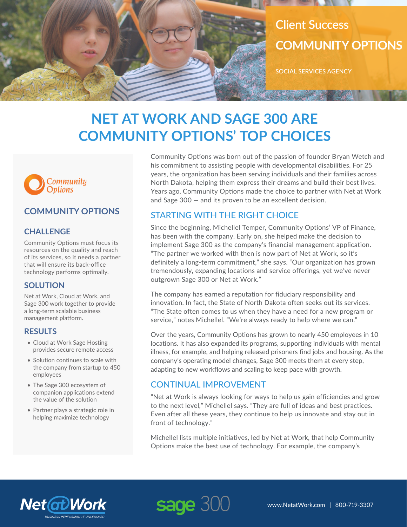

# **NET AT WORK AND SAGE 300 ARE COMMUNITY OPTIONS' TOP CHOICES**



### **COMMUNITY OPTIONS**

#### **CHALLENGE**

Community Options must focus its resources on the quality and reach of its services, so it needs a partner that will ensure its back-office technology performs optimally.

#### **SOLUTION**

Net at Work, Cloud at Work, and Sage 300 work together to provide a long-term scalable business management platform.

#### **RESULTS**

- Cloud at Work Sage Hosting provides secure remote access
- Solution continues to scale with the company from startup to 450 employees
- The Sage 300 ecosystem of companion applications extend the value of the solution
- Partner plays a strategic role in helping maximize technology

Community Options was born out of the passion of founder Bryan Wetch and his commitment to assisting people with developmental disabilities. For 25 years, the organization has been serving individuals and their families across North Dakota, helping them express their dreams and build their best lives. Years ago, Community Options made the choice to partner with Net at Work and Sage 300 — and its proven to be an excellent decision.

#### STARTING WITH THE RIGHT CHOICE

Since the beginning, Michellel Temper, Community Options' VP of Finance, has been with the company. Early on, she helped make the decision to implement Sage 300 as the company's financial management application. "The partner we worked with then is now part of Net at Work, so it's definitely a long-term commitment," she says. "Our organization has grown tremendously, expanding locations and service offerings, yet we've never outgrown Sage 300 or Net at Work."

The company has earned a reputation for fiduciary responsibility and innovation. In fact, the State of North Dakota often seeks out its services. "The State often comes to us when they have a need for a new program or service," notes Michellel. "We're always ready to help where we can."

Over the years, Community Options has grown to nearly 450 employees in 10 locations. It has also expanded its programs, supporting individuals with mental illness, for example, and helping released prisoners find jobs and housing. As the company's operating model changes, Sage 300 meets them at every step, adapting to new workflows and scaling to keep pace with growth.

#### CONTINUAL IMPROVEMENT

"Net at Work is always looking for ways to help us gain efficiencies and grow to the next level," Michellel says. "They are full of ideas and best practices. Even after all these years, they continue to help us innovate and stay out in front of technology."

Michellel lists multiple initiatives, led by Net at Work, that help Community Options make the best use of technology. For example, the company's